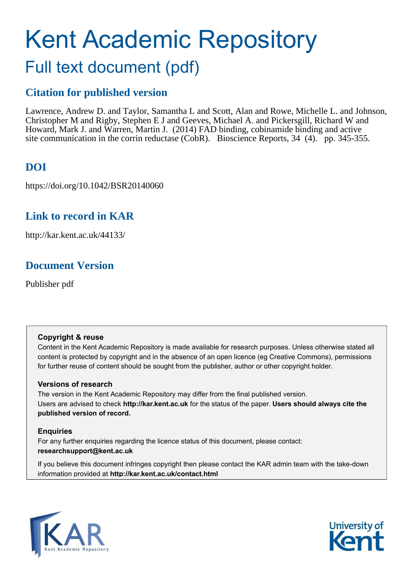# Kent Academic Repository

# Full text document (pdf)

# **Citation for published version**

Lawrence, Andrew D. and Taylor, Samantha L and Scott, Alan and Rowe, Michelle L. and Johnson, Christopher M and Rigby, Stephen E J and Geeves, Michael A. and Pickersgill, Richard W and Howard, Mark J. and Warren, Martin J. (2014) FAD binding, cobinamide binding and active site communication in the corrin reductase (CobR). Bioscience Reports, 34 (4). pp. 345-355.

# **DOI**

https://doi.org/10.1042/BSR20140060

# **Link to record in KAR**

http://kar.kent.ac.uk/44133/

# **Document Version**

Publisher pdf

## **Copyright & reuse**

Content in the Kent Academic Repository is made available for research purposes. Unless otherwise stated all content is protected by copyright and in the absence of an open licence (eg Creative Commons), permissions for further reuse of content should be sought from the publisher, author or other copyright holder.

## **Versions of research**

The version in the Kent Academic Repository may differ from the final published version. Users are advised to check **http://kar.kent.ac.uk** for the status of the paper. **Users should always cite the published version of record.**

## **Enquiries**

For any further enquiries regarding the licence status of this document, please contact: **researchsupport@kent.ac.uk**

If you believe this document infringes copyright then please contact the KAR admin team with the take-down information provided at **http://kar.kent.ac.uk/contact.html**



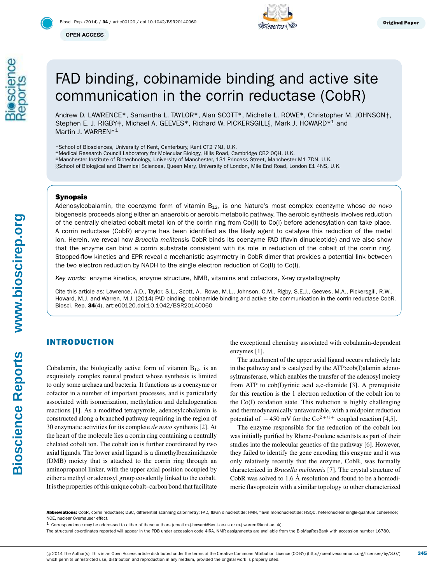**OPEN ACCESS** 



# FAD binding, cobinamide binding and active site communication in the corrin reductase (CobR)

Andrew D. LAWRENCE\*, Samantha L. TAYLOR\*, Alan SCOTT\*, Michelle L. ROWE\*, Christopher M. JOHNSON†, Stephen E. J. RIGBY‡, Michael A. GEEVES\*, Richard W. PICKERSGILL§, Mark J. HOWARD\*<sup>1</sup> and Martin J. WARREN\*<sup>1</sup>

†Medical Research Council Laboratory for Molecular Biology, Hills Road, Cambridge CB2 0QH, U.K.

§School of Biological and Chemical Sciences, Queen Mary, University of London, Mile End Road, London E1 4NS, U.K.

#### Synopsis

Adenosylcobalamin, the coenzyme form of vitamin B<sub>12</sub>, is one Nature's most complex coenzyme whose de novo biogenesis proceeds along either an anaerobic or aerobic metabolic pathway. The aerobic synthesis involves reduction of the centrally chelated cobalt metal ion of the corrin ring from Co(II) to Co(I) before adenosylation can take place. A corrin reductase (CobR) enzyme has been identified as the likely agent to catalyse this reduction of the metal ion. Herein, we reveal how *Brucella melitensis* CobR binds its coenzyme FAD (flavin dinucleotide) and we also show that the enzyme can bind a corrin substrate consistent with its role in reduction of the cobalt of the corrin ring. Stopped-flow kinetics and EPR reveal a mechanistic asymmetry in CobR dimer that provides a potential link between the two electron reduction by NADH to the single electron reduction of Co(II) to Co(I).

*Key words:* enzyme kinetics, enzyme structure, NMR, vitamins and cofactors, X-ray crystallography

Cite this article as: Lawrence, A.D., Taylor, S.L., Scott, A., Rowe, M.L., Johnson, C.M., Rigby, S.E.J., Geeves, M.A., Pickersgill, R.W., Howard, M.J. and Warren, M.J. (2014) FAD binding, cobinamide binding and active site communication in the corrin reductase CobR. Biosci. Rep. 34(4), art:e00120.doi:10.1042/BSR20140060

## INTRODUCTION

Cobalamin, the biologically active form of vitamin  $B_{12}$ , is an exquisitely complex natural product whose synthesis is limited to only some archaea and bacteria. It functions as a coenzyme or cofactor in a number of important processes, and is particularly associated with isomerization, methylation and dehalogenation reactions [1]. As a modified tetrapyrrole, adenosylcobalamin is constructed along a branched pathway requiring in the region of 30 enzymatic activities for its complete *de novo* synthesis [2]. At the heart of the molecule lies a corrin ring containing a centrally chelated cobalt ion. The cobalt ion is further coordinated by two axial ligands. The lower axial ligand is a dimethylbenzimidazole (DMB) moiety that is attached to the corrin ring through an aminopropanol linker, with the upper axial position occupied by either a methyl or adenosyl group covalently linked to the cobalt. It is the properties of this unique cobalt–carbon bond that facilitate the exceptional chemistry associated with cobalamin-dependent enzymes [1].

The attachment of the upper axial ligand occurs relatively late in the pathway and is catalysed by the ATP:cob(I)alamin adenosyltransferase, which enables the transfer of the adenosyl moiety from ATP to cob(I)yrinic acid a,c-diamide [3]. A prerequisite for this reaction is the 1 electron reduction of the cobalt ion to the Co(I) oxidation state. This reduction is highly challenging and thermodynamically unfavourable, with a midpoint reduction potential of  $-450$  mV for the Co<sup>2+/1+</sup> coupled reaction [4,5].

The enzyme responsible for the reduction of the cobalt ion was initially purified by Rhone-Poulenc scientists as part of their studies into the molecular genetics of the pathway [6]. However, they failed to identify the gene encoding this enzyme and it was only relatively recently that the enzyme, CobR, was formally characterized in *Brucella melitensis* [7]. The crystal structure of CobR was solved to  $1.6$  Å resolution and found to be a homodimeric flavoprotein with a similar topology to other characterized

 $1$  Correspondence may be addressed to either of these authors (email m.j.howard@kent.ac.uk or m.j.warren@kent.ac.uk).



<sup>\*</sup>School of Biosciences, University of Kent, Canterbury, Kent CT2 7NJ, U.K.

<sup>‡</sup>Manchester Institute of Biotechnology, University of Manchester, 131 Princess Street, Manchester M1 7DN, U.K.

Abbreviations: CobR, corrin reductase; DSC, differential scanning calorimetry; FAD, flavin dinucleotide; FMN, flavin mononucleotide; HSQC, heteronuclear single-quantum coherence; NOE, nuclear Overhauser effect.

The structural co-ordinates reported will appear in the PDB under accession code 4IRA. NMR assignments are available from the BioMagResBank with accession number 16780.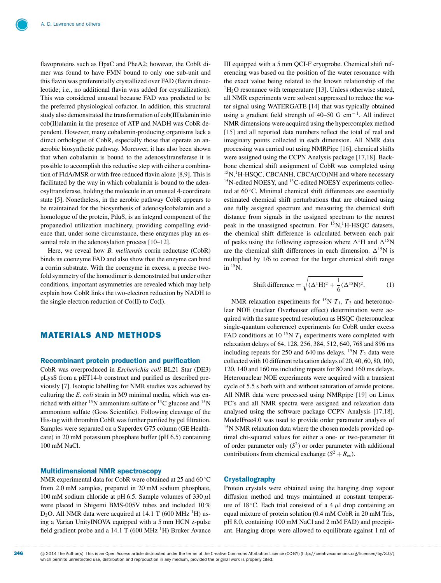flavoproteins such as HpaC and PheA2; however, the CobR dimer was found to have FMN bound to only one sub-unit and this flavin was preferentially crystallized over FAD (flavin dinucleotide; i.e., no additional flavin was added for crystallization). This was considered unusual because FAD was predicted to be the preferred physiological cofactor. In addition, this structural study also demonstrated the transformation of cob(III)alamin into cob(II)alamin in the presence of ATP and NADH was CobR dependent. However, many cobalamin-producing organisms lack a direct orthologue of CobR, especially those that operate an anaerobic biosynthetic pathway. Moreover, it has also been shown that when cobalamin is bound to the adenosyltransferase it is possible to accomplish this reductive step with either a combination of FldA/MSR or with free reduced flavin alone [8,9]. This is facilitated by the way in which cobalamin is bound to the adenosyltransferase, holding the molecule in an unusual 4-coordinate state [5]. Nonetheless, in the aerobic pathway CobR appears to be maintained for the biosynthesis of adenosylcobalamin and a homologue of the protein, PduS, is an integral component of the propanediol utilization machinery, providing compelling evidence that, under some circumstance, these enzymes play an essential role in the adenosylation process [10–12].

Here, we reveal how *B. melitensis* corrin reductase (CobR) binds its coenzyme FAD and also show that the enzyme can bind a corrin substrate. With the coenzyme in excess, a precise twofold symmetry of the homodimer is demonstrated but under other conditions, important asymmetries are revealed which may help explain how CobR links the two-electron reduction by NADH to the single electron reduction of  $Co(II)$  to  $Co(I)$ .

### MATERIALS AND METHODS

#### Recombinant protein production and purification

CobR was overproduced in *Escherichia coli* BL21 Star (DE3) pLysS from a pET14-b construct and purified as described previously [7]. Isotopic labelling for NMR studies was achieved by culturing the *E. coli* strain in M9 minimal media, which was enriched with either  $^{15}N$  ammonium sulfate or  $^{13}C$  glucose and  $^{15}N$ ammonium sulfate (Goss Scientific). Following cleavage of the His-tag with thrombin CobR was further purified by gel filtration. Samples were separated on a Superdex G75 column (GE Healthcare) in 20 mM potassium phosphate buffer (pH 6.5) containing 100 mM NaCl.

#### Multidimensional NMR spectroscopy

NMR experimental data for CobR were obtained at 25 and 60◦C from 2.0 mM samples, prepared in 20 mM sodium phosphate, 100 mM sodium chloride at pH 6.5. Sample volumes of 330  $\mu$ l were placed in Shigemi BMS-005V tubes and included 10 % D<sub>2</sub>O. All NMR data were acquired at 14.1 T (600 MHz  $^1$ H) using a Varian UnityINOVA equipped with a 5 mm HCN z-pulse field gradient probe and a 14.1 T (600 MHz  $^1$ H) Bruker Avance III equipped with a 5 mm QCI-F cryoprobe. Chemical shift referencing was based on the position of the water resonance with the exact value being related to the known relationship of the  ${}^{1}H_{2}O$  resonance with temperature [13]. Unless otherwise stated, all NMR experiments were solvent suppressed to reduce the water signal using WATERGATE [14] that was typically obtained using a gradient field strength of 40–50 G cm<sup>-1</sup>. All indirect NMR dimensions were acquired using the hypercomplex method [15] and all reported data numbers reflect the total of real and imaginary points collected in each dimension. All NMR data processing was carried out using NMRPipe [16], chemical shifts were assigned using the CCPN Analysis package [17,18]. Backbone chemical shift assignment of CobR was completed using <sup>15</sup>N,<sup>1</sup>H-HSQC, CBCANH, CBCA(CO)NH and where necessary <sup>15</sup>N-edited NOESY, and <sup>13</sup>C-edited NOESY experiments collected at 60 ℃. Minimal chemical shift differences are essentially estimated chemical shift perturbations that are obtained using one fully assigned spectrum and measuring the chemical shift distance from signals in the assigned spectrum to the nearest peak in the unassigned spectrum. For  ${}^{15}N, {}^{1}H$ -HSQC datasets, the chemical shift difference is calculated between each pair of peaks using the following expression where  $\Delta^1$ H and  $\Delta^{15}$ N are the chemical shift differences in each dimension.  $\Delta^{15}N$  is multiplied by 1/6 to correct for the larger chemical shift range in  $15<sub>N</sub>$ .

Shift difference = 
$$
\sqrt{(\Delta^1 H)^2 + \frac{1}{6} (\Delta^{15} N)^2}
$$
. (1)

NMR relaxation experiments for <sup>15</sup>N  $T_1$ ,  $T_2$  and heteronuclear NOE (nuclear Overhauser effect) determination were acquired with the same spectral resolution as HSQC (heteronuclear single-quantum coherence) experiments for CobR under excess FAD conditions at 10<sup>15</sup>N  $T_1$  experiments were completed with relaxation delays of 64, 128, 256, 384, 512, 640, 768 and 896 ms including repeats for 250 and 640 ms delays. <sup>15</sup>N  $T_2$  data were collected with 10 different relaxation delays of 20, 40, 60, 80, 100, 120, 140 and 160 ms including repeats for 80 and 160 ms delays. Heteronuclear NOE experiments were acquired with a transient cycle of 5.5 s both with and without saturation of amide protons. All NMR data were processed using NMRpipe [19] on Linux PC's and all NMR spectra were assigned and relaxation data analysed using the software package CCPN Analysis [17,18]. ModelFree4.0 was used to provide order parameter analysis of <sup>15</sup>N NMR relaxation data where the chosen models provided optimal chi-squared values for either a one- or two-parameter fit of order parameter only  $(S^2)$  or order parameter with additional contributions from chemical exchange  $(S^2 + R_{ex})$ .

#### Crystallography

Protein crystals were obtained using the hanging drop vapour diffusion method and trays maintained at constant temperature of 18 °C. Each trial consisted of a 4  $\mu$ l drop containing an equal mixture of protein solution (0.4 mM CobR in 20 mM Tris, pH 8.0, containing 100 mM NaCl and 2 mM FAD) and precipitant. Hanging drops were allowed to equilibrate against 1 ml of

c 2014 The Author(s) This is an Open Access article distributed under the terms of the Creative Commons Attribution Licence (CC-BY) [\(http://creativecommons.org/licenses/by/3.0/\)](http://creativecommons.org/licenses/by/3.0/) which permits unrestricted use, distribution and reproduction in any medium, provided the original work is properly cited.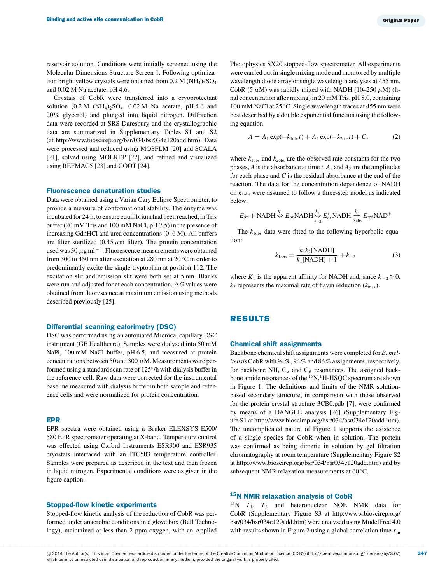reservoir solution. Conditions were initially screened using the Molecular Dimensions Structure Screen 1. Following optimization bright yellow crystals were obtained from  $0.2$  M (NH<sub>4</sub>)<sub>2</sub>SO<sub>4</sub> and 0.02 M Na acetate, pH 4.6.

Crystals of CobR were transferred into a cryoprotectant solution  $(0.2 M (NH_4)_{2}SO_4, 0.02 M$  Na acetate, pH 4.6 and 20 % glycerol) and plunged into liquid nitrogen. Diffraction data were recorded at SRS Daresbury and the crystallographic data are summarized in Supplementary Tables S1 and S2 (at [http://www.bioscirep.org/bsr/034/bsr034e120add.htm\)](http://www.bioscirep.org/bsr/034/bsr034e120add.htm). Data were processed and reduced using MOSFLM [20] and SCALA [21], solved using MOLREP [22], and refined and visualized using REFMAC5 [23] and COOT [24].

#### Fluorescence denaturation studies

Data were obtained using a Varian Cary Eclipse Spectrometer, to provide a measure of conformational stability. The enzyme was incubated for 24 h, to ensure equilibrium had been reached, in Tris buffer (20 mM Tris and 100 mM NaCl, pH 7.5) in the presence of increasing GdnHCl and urea concentrations (0–6 M). All buffers are filter sterilized (0.45  $\mu$ m filter). The protein concentration used was 30  $\mu$ g ml<sup>-1</sup>. Fluorescence measurements were obtained from 300 to 450 nm after excitation at 280 nm at 20 ◦C in order to predominantly excite the single tryptophan at position 112. The excitation slit and emission slit were both set at 5 nm. Blanks were run and adjusted for at each concentration.  $\Delta G$  values were obtained from fluorescence at maximum emission using methods described previously [25].

#### Differential scanning calorimetry (DSC)

DSC was performed using an automated Microcal capillary DSC instrument (GE Healthcare). Samples were dialysed into 50 mM NaPi, 100 mM NaCl buffer, pH 6.5, and measured at protein concentrations between 50 and 300  $\mu$ M. Measurements were performed using a standard scan rate of 125◦ /h with dialysis buffer in the reference cell. Raw data were corrected for the instrumental baseline measured with dialysis buffer in both sample and reference cells and were normalized for protein concentration.

#### EPR

EPR spectra were obtained using a Bruker ELEXSYS E500/ 580 EPR spectrometer operating at X-band. Temperature control was effected using Oxford Instruments ESR900 and ESR935 cryostats interfaced with an ITC503 temperature controller. Samples were prepared as described in the text and then frozen in liquid nitrogen. Experimental conditions were as given in the figure caption.

#### Stopped-flow kinetic experiments

Stopped-flow kinetic analysis of the reduction of CobR was performed under anaerobic conditions in a glove box (Bell Technology), maintained at less than 2 ppm oxygen, with an Applied

Photophysics SX20 stopped-flow spectrometer. All experiments were carried out in single mixing mode and monitored by multiple wavelength diode array or single wavelength analyses at 455 nm. CobR (5  $\mu$ M) was rapidly mixed with NADH (10–250  $\mu$ M) (final concentration after mixing) in 20 mM Tris, pH 8.0, containing 100 mM NaCl at 25 ◦C. Single wavelength traces at 455 nm were best described by a double exponential function using the following equation:

$$
A = A_1 \exp(-k_{10bs}t) + A_2 \exp(-k_{20bs}t) + C.
$$
 (2)

where  $k_{1obs}$  and  $k_{2obs}$  are the observed rate constants for the two phases, *A* is the absorbance at time  $t$ ,  $A_1$  and  $A_2$  are the amplitudes for each phase and *C* is the residual absorbance at the end of the reaction. The data for the concentration dependence of NADH on *k*1obs were assumed to follow a three-step model as indicated below:

$$
E_{ox} + \text{NADH} \overset{K_1}{\Leftrightarrow} E_{ox} \text{NADH} \overset{k_2}{\underset{K_{-2}}{\Leftrightarrow}} E_{ox}^{\text{t}} \text{NADH} \overset{k_3}{\underset{\Delta \text{abs}}{\Leftrightarrow}} E_{\text{red}} \text{NAD}^+
$$

The *k*1obs data were fitted to the following hyperbolic equation:

$$
k_{1obs} = \frac{k_1 k_2 [NADH]}{k_1 [NADH] + 1} + k_{-2}
$$
 (3)

where  $K_1$  is the apparent affinity for NADH and, since  $k_{-2} \approx 0$ ,  $k_2$  represents the maximal rate of flavin reduction ( $k_{\text{max}}$ ).

#### RESULTS

#### Chemical shift assignments

Backbone chemical shift assignments were completed for *B. melitensis*CobR with 94 %, 94 % and 86 % assignments, respectively, for backbone NH,  $C_{\alpha}$  and  $C_{\beta}$  resonances. The assigned backbone amide resonances of the  ${}^{15}N,{}^{1}H-HSQC$  spectrum are shown in Figure 1. The definitions and limits of the NMR solutionbased secondary structure, in comparison with those observed for the protein crystal structure 3CB0.pdb [7], were confirmed by means of a DANGLE analysis [26] (Supplementary Figure S1 at [http://www.bioscirep.org/bsr/034/bsr034e120add.htm\)](http://www.bioscirep.org/bsr/034/bsr034e120add.htm). The uncomplicated nature of Figure 1 supports the existence of a single species for CobR when in solution. The protein was confirmed as being dimeric in solution by gel filtration chromatography at room temperature (Supplementary Figure S2 at [http://www.bioscirep.org/bsr/034/bsr034e120add.htm\)](http://www.bioscirep.org/bsr/034/bsr034e120add.htm) and by subsequent NMR relaxation measurements at 60 °C.

## <sup>15</sup>N NMR relaxation analysis of CobR

<sup>15</sup>N  $T_1$ ,  $T_2$  and heteronuclear NOE NMR data for CobR (Supplementary Figure S3 at [http://www.bioscirep.org/](http://www.bioscirep.org/bsr/034/bsr034e120add.htm) [bsr/034/bsr034e120add.htm\)](http://www.bioscirep.org/bsr/034/bsr034e120add.htm) were analysed using ModelFree 4.0 with results shown in Figure 2 using a global correlation time  $\tau_m$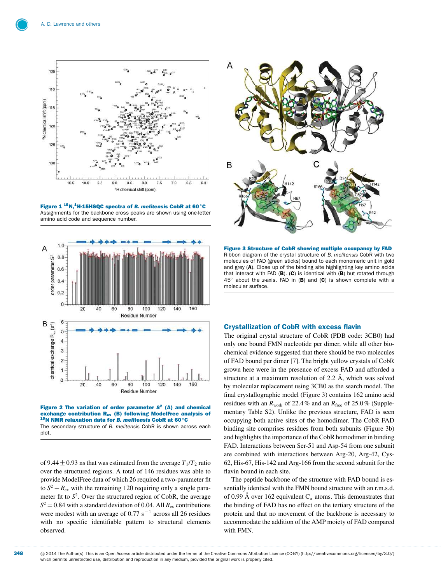

Figure 1 <sup>15</sup>N,<sup>1</sup>H-15HSQC spectra of *B. melitensis* CobR at 60◦C Assignments for the backbone cross peaks are shown using one-letter amino acid code and sequence number.



Figure 2 The variation of order parameter *S* 2 (A) and chemical exchange contribution Rex (B) following ModelFree analysis of <sup>15</sup>N NMR relaxation data for *B. melitensis* CobR at 60◦C The secondary structure of *B. melitensis* CobR is shown across each plot.

of 9.44  $\pm$  0.93 ns that was estimated from the average  $T_1/T_2$  ratio over the structured regions. A total of 146 residues was able to provide ModelFree data of which 26 required a two-parameter fit to  $S^2 + R_{\text{ex}}$  with the remaining 120 requiring only a single parameter fit to  $S<sup>2</sup>$ . Over the structured region of CobR, the average  $S^2 = 0.84$  with a standard deviation of 0.04. All  $R_{\text{ex}}$  contributions were modest with an average of  $0.77 \text{ s}^{-1}$  across all 26 residues with no specific identifiable pattern to structural elements observed.



Figure 3 Structure of CobR showing multiple occupancy by FAD Ribbon diagram of the crystal structure of *B. melitensis* CobR with two molecules of FAD (green sticks) bound to each monomeric unit in gold and grey (A). Close up of the binding site highlighting key amino acids that interact with FAD (B). (C) is identical with (B) but rotated through 45◦ about the *z*-axis. FAD in (B) and (C) is shown complete with a molecular surface.

#### Crystallization of CobR with excess flavin

The original crystal structure of CobR (PDB code: 3CB0) had only one bound FMN nucleotide per dimer, while all other biochemical evidence suggested that there should be two molecules of FAD bound per dimer [7]. The bright yellow crystals of CobR grown here were in the presence of excess FAD and afforded a structure at a maximum resolution of  $2.2 \text{ Å}$ , which was solved by molecular replacement using 3CB0 as the search model. The final crystallographic model (Figure 3) contains 162 amino acid residues with an  $R_{work}$  of 22.4% and an  $R_{free}$  of 25.0% (Supplementary Table S2). Unlike the previous structure, FAD is seen occupying both active sites of the homodimer. The CobR FAD binding site comprises residues from both subunits (Figure 3b) and highlights the importance of the CobR homodimer in binding FAD. Interactions between Ser-51 and Asp-54 from one subunit are combined with interactions between Arg-20, Arg-42, Cys-62, His-67, His-142 and Arg-166 from the second subunit for the flavin bound in each site.

The peptide backbone of the structure with FAD bound is essentially identical with the FMN bound structure with an r.m.s.d. of 0.99 Å over 162 equivalent  $C_{\alpha}$  atoms. This demonstrates that the binding of FAD has no effect on the tertiary structure of the protein and that no movement of the backbone is necessary to accommodate the addition of the AMP moiety of FAD compared with FMN.

c 2014 The Author(s) This is an Open Access article distributed under the terms of the Creative Commons Attribution Licence (CC-BY) [\(http://creativecommons.org/licenses/by/3.0/\)](http://creativecommons.org/licenses/by/3.0/) which permits unrestricted use, distribution and reproduction in any medium, provided the original work is properly cited.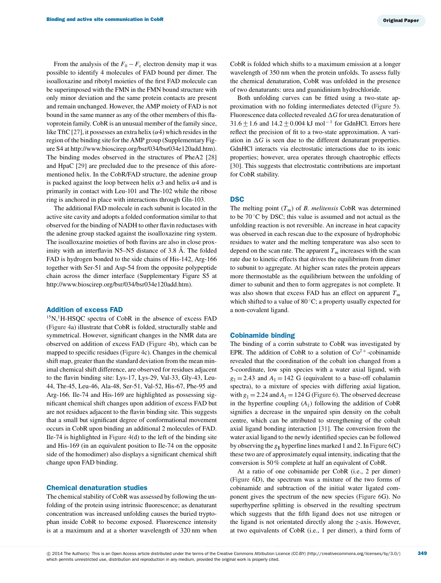From the analysis of the  $F_0 - F_c$  electron density map it was possible to identify 4 molecules of FAD bound per dimer. The isoalloxazine and ribotyl moieties of the first FAD molecule can be superimposed with the FMN in the FMN bound structure with only minor deviation and the same protein contacts are present and remain unchanged. However, the AMP moiety of FAD is not bound in the same manner as any of the other members of this flavoprotein family. CobR is an unusual member of the family since, like TftC [27], it possesses an extra helix ( $\alpha$ 4) which resides in the region of the binding site for the AMP group (Supplementary Figure S4 at [http://www.bioscirep.org/bsr/034/bsr034e120add.htm\)](http://www.bioscirep.org/bsr/034/bsr034e120add.htm). The binding modes observed in the structures of PheA2 [28] and HpaC [29] are precluded due to the presence of this aforementioned helix. In the CobR/FAD structure, the adenine group is packed against the loop between helix  $\alpha$ 3 and helix  $\alpha$ 4 and is primarily in contact with Leu-101 and Thr-102 while the ribose ring is anchored in place with interactions through Gln-103.

The additional FAD molecule in each subunit is located in the active site cavity and adopts a folded conformation similar to that observed for the binding of NADH to other flavin reductases with the adenine group stacked against the isoalloxazine ring system. The isoalloxazine moieties of both flavins are also in close proximity with an interflavin  $N5-N5$  distance of 3.8 Å. The folded FAD is hydrogen bonded to the side chains of His-142, Arg-166 together with Ser-51 and Asp-54 from the opposite polypeptide chain across the dimer interface (Supplementary Figure S5 at [http://www.bioscirep.org/bsr/034/bsr034e120add.htm\)](http://www.bioscirep.org/bsr/034/bsr034e120add.htm).

#### Addition of excess FAD

<sup>15</sup>N,<sup>1</sup>H-HSQC spectra of CobR in the absence of excess FAD (Figure 4a) illustrate that CobR is folded, structurally stable and symmetrical. However, significant changes in the NMR data are observed on addition of excess FAD (Figure 4b), which can be mapped to specific residues (Figure 4c). Changes in the chemical shift map, greater than the standard deviation from the mean minimal chemical shift difference, are observed for residues adjacent to the flavin binding site: Lys-17, Lys-29, Val-33, Gly-43, Leu-44, Thr-45, Leu-46, Ala-48, Ser-51, Val-52, His-67, Phe-95 and Arg-166. Ile-74 and His-169 are highlighted as possessing significant chemical shift changes upon addition of excess FAD but are not residues adjacent to the flavin binding site. This suggests that a small but significant degree of conformational movement occurs in CobR upon binding an additional 2 molecules of FAD. Ile-74 is highlighted in Figure 4(d) to the left of the binding site and His-169 (in an equivalent position to Ile-74 on the opposite side of the homodimer) also displays a significant chemical shift change upon FAD binding.

#### Chemical denaturation studies

The chemical stability of CobR was assessed by following the unfolding of the protein using intrinsic fluorescence; as denaturant concentration was increased unfolding causes the buried tryptophan inside CobR to become exposed. Fluorescence intensity is at a maximum and at a shorter wavelength of 320 nm when

CobR is folded which shifts to a maximum emission at a longer wavelength of 350 nm when the protein unfolds. To assess fully the chemical denaturation, CobR was unfolded in the presence of two denaturants: urea and guanidinium hydrochloride.

Both unfolding curves can be fitted using a two-state approximation with no folding intermediates detected (Figure 5). Fluorescence data collected revealed  $\Delta G$  for urea denaturation of  $31.6 \pm 1.6$  and  $14.2 \pm 0.004$  kJ mol<sup>-1</sup> for GdnHCl. Errors here reflect the precision of fit to a two-state approximation. A variation in  $\Delta G$  is seen due to the different denaturant properties. GdnHCl interacts via electrostatic interactions due to its ionic properties; however, urea operates through chaotrophic effects [30]. This suggests that electrostatic contributions are important for CobR stability.

#### **DSC**

The melting point  $(T_m)$  of *B. melitensis* CobR was determined to be  $70^{\circ}$ C by DSC; this value is assumed and not actual as the unfolding reaction is not reversible. An increase in heat capacity was observed in each rescan due to the exposure of hydrophobic residues to water and the melting temperature was also seen to depend on the scan rate. The apparent  $T<sub>m</sub>$  increases with the scan rate due to kinetic effects that drives the equilibrium from dimer to subunit to aggregate. At higher scan rates the protein appears more thermostable as the equilibrium between the unfolding of dimer to subunit and then to form aggregates is not complete. It was also shown that excess FAD has an effect on apparent  $T<sub>m</sub>$ which shifted to a value of  $80^{\circ}$ C; a property usually expected for a non-covalent ligand.

#### Cobinamide binding

The binding of a corrin substrate to CobR was investigated by EPR. The addition of CobR to a solution of  $Co<sup>2+</sup>$ -cobinamide revealed that the coordination of the cobalt ion changed from a 5-coordinate, low spin species with a water axial ligand, with  $g_{\parallel} = 2.43$  and  $A_{\parallel} = 142$  G (equivalent to a base-off cobalamin spectra), to a mixture of species with differing axial ligation, with  $g_{\parallel} = 2.24$  and  $A_{\parallel} = 124$  G (Figure 6). The observed decrease in the hyperfine coupling  $(A_{\parallel})$  following the addition of CobR signifies a decrease in the unpaired spin density on the cobalt centre, which can be attributed to strengthening of the cobalt axial ligand bonding interaction [31]. The conversion from the water axial ligand to the newly identified species can be followed by observing the  $g_{\parallel}$  hyperfine lines marked 1 and 2. In Figure 6(C) these two are of approximately equal intensity, indicating that the conversion is 50 % complete at half an equivalent of CobR.

At a ratio of one cobinamide per CobR (i.e., 2 per dimer) (Figure 6D), the spectrum was a mixture of the two forms of cobinamide and subtraction of the initial water ligated component gives the spectrum of the new species (Figure 6G). No superhyperfine splitting is observed in the resulting spectrum which suggests that the fifth ligand does not use nitrogen or the ligand is not orientated directly along the *z*-axis. However, at two equivalents of CobR (i.e., 1 per dimer), a third form of

<sup>@ 2014</sup> The Author(s) This is an Open Access article distributed under the terms of the Creative Commons Attribution Licence (CC-BY) [\(http://creativecommons.org/licenses/by/3.0/\)](http://creativecommons.org/licenses/by/3.0/) which permits unrestricted use, distribution and reproduction in any medium, provided the original work is properly cited.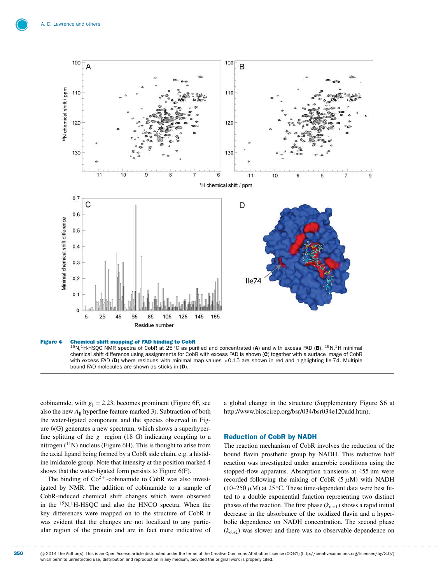

chemical shift difference using assignments for CobR with excess FAD is shown (C) together with a surface image of CobR with excess FAD (D) where residues with minimal map values  $>0.15$  are shown in red and highlighting Ile-74. Multiple bound FAD molecules are shown as sticks in (D).

cobinamide, with  $g_{\parallel} = 2.23$ , becomes prominent (Figure 6F, see also the new  $A_{\parallel}$  hyperfine feature marked 3). Subtraction of both the water-ligated component and the species observed in Figure 6(G) generates a new spectrum, which shows a superhyperfine splitting of the  $g_{\parallel}$  region (18 G) indicating coupling to a nitrogen  $(14N)$  nucleus (Figure 6H). This is thought to arise from the axial ligand being formed by a CobR side chain, e.g. a histidine imidazole group. Note that intensity at the position marked 4 shows that the water-ligated form persists to Figure 6(F).

The binding of  $Co<sup>2+</sup>$ -cobinamide to CobR was also investigated by NMR. The addition of cobinamide to a sample of CobR-induced chemical shift changes which were observed in the  $15N$ , <sup>1</sup>H-HSQC and also the HNCO spectra. When the key differences were mapped on to the structure of CobR it was evident that the changes are not localized to any particular region of the protein and are in fact more indicative of a global change in the structure (Supplementary Figure S6 at [http://www.bioscirep.org/bsr/034/bsr034e120add.htm\)](http://www.bioscirep.org/bsr/034/bsr034e120add.htm).

#### Reduction of CobR by NADH

The reaction mechanism of CobR involves the reduction of the bound flavin prosthetic group by NADH. This reductive half reaction was investigated under anaerobic conditions using the stopped-flow apparatus. Absorption transients at 455 nm were recorded following the mixing of CobR  $(5 \mu M)$  with NADH (10–250  $\mu$ M) at 25 °C. These time-dependent data were best fitted to a double exponential function representing two distinct phases of the reaction. The first phase  $(k_{obs1})$  shows a rapid initial decrease in the absorbance of the oxidized flavin and a hyperbolic dependence on NADH concentration. The second phase (*k*obs2) was slower and there was no observable dependence on

c 2014 The Author(s) This is an Open Access article distributed under the terms of the Creative Commons Attribution Licence (CC-BY) [\(http://creativecommons.org/licenses/by/3.0/\)](http://creativecommons.org/licenses/by/3.0/) which permits unrestricted use, distribution and reproduction in any medium, provided the original work is properly cited.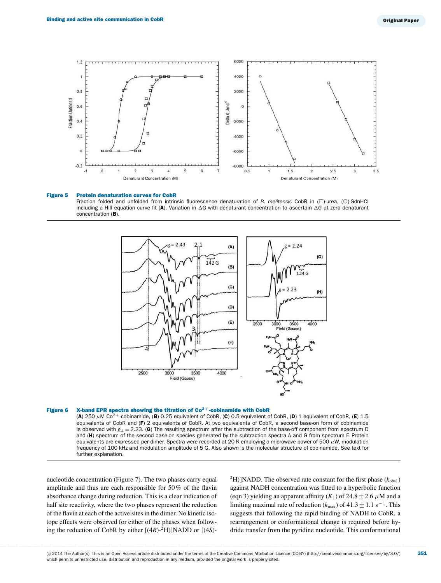

#### Figure 5 Protein denaturation curves for CobR

Fraction folded and unfolded from intrinsic fluorescence denaturation of *B. melitensis* CobR in (-)-urea, ()-GdnHCl including a Hill equation curve fit (A). Variation in  $\Delta G$  with denaturant concentration to ascertain  $\Delta G$  at zero denaturant concentration (B).



#### Figure 6 X-band EPR spectra showing the titration of  $Co<sup>2+</sup>$ -cobinamide with CobR

(A) 250  $\mu$ M Co<sup>2+</sup>-cobinamide, (B) 0.25 equivalent of CobR, (C) 0.5 equivalent of CobR, (D) 1 equivalent of CobR, (E) 1.5 equivalents of CobR and (F) 2 equivalents of CobR. At two equivalents of CobR, a second base-on form of cobinamide is observed with *g*<sup>⊥</sup> = 2.23. (G) The resulting spectrum after the subtraction of the base-off component from spectrum D and (H) spectrum of the second base-on species generated by the subtraction spectra A and G from spectrum F. Protein equivalents are expressed per dimer. Spectra were recorded at 20 K employing a microwave power of 500  $\mu$ W, modulation frequency of 100 kHz and modulation amplitude of 5 G. Also shown is the molecular structure of cobinamide. See text for further explanation.

nucleotide concentration (Figure 7). The two phases carry equal amplitude and thus are each responsible for 50 % of the flavin absorbance change during reduction. This is a clear indication of half site reactivity, where the two phases represent the reduction of the flavin at each of the active sites in the dimer. No kinetic isotope effects were observed for either of the phases when following the reduction of CobR by either [(4*R*)-<sup>2</sup>H)]NADD or [(4*S*)- <sup>2</sup>H)]NADD. The observed rate constant for the first phase  $(k_{\text{obs1}})$ against NADH concentration was fitted to a hyperbolic function (eqn 3) yielding an apparent affinity ( $K_1$ ) of 24.8  $\pm$  2.6  $\mu$ M and a limiting maximal rate of reduction  $(k_{\text{max}})$  of 41.3  $\pm$  1.1 s<sup>-1</sup>. This suggests that following the rapid binding of NADH to CobR, a rearrangement or conformational change is required before hydride transfer from the pyridine nucleotide. This conformational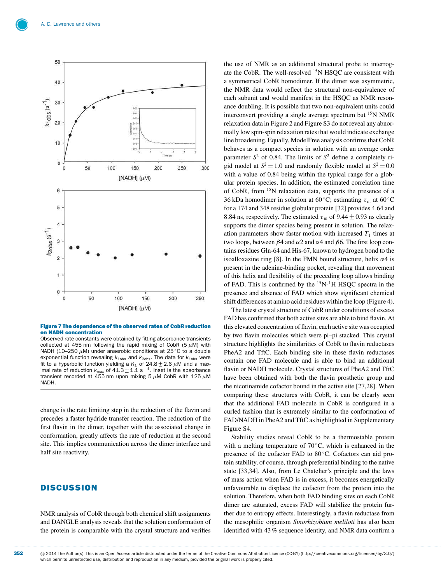

#### Figure 7 The dependence of the observed rates of CobR reduction on NADH concentration

Observed rate constants were obtained by fitting absorbance transients collected at 455 nm following the rapid mixing of CobR (5  $\mu$ M) with NADH (10–250  $\mu$ M) under anaerobic conditions at 25 °C to a double exponential function revealing *k*<sub>1obs</sub> and *k*<sub>2obs</sub>. The data for *k*<sub>1obs</sub> were<br>fit to a hyperbolic function yielding a *K*<sub>1</sub> of 24.8 + 2.6 μM and a maximal rate of reduction  $k_{\text{max}}$  of  $41.3 \pm 1.1$  s<sup>−1</sup>. Inset is the absorbance transient recorded at 455 nm upon mixing 5  $\mu$ M CobR with 125  $\mu$ M NADH.

change is the rate limiting step in the reduction of the flavin and precedes a faster hydride transfer reaction. The reduction of the first flavin in the dimer, together with the associated change in conformation, greatly affects the rate of reduction at the second site. This implies communication across the dimer interface and half site reactivity.

## **DISCUSSION**

NMR analysis of CobR through both chemical shift assignments and DANGLE analysis reveals that the solution conformation of the protein is comparable with the crystal structure and verifies the use of NMR as an additional structural probe to interrogate the CobR. The well-resolved <sup>15</sup>N HSQC are consistent with a symmetrical CobR homodimer. If the dimer was asymmetric, the NMR data would reflect the structural non-equivalence of each subunit and would manifest in the HSQC as NMR resonance doubling. It is possible that two non-equivalent units could interconvert providing a single average spectrum but  $15N NMR$ relaxation data in Figure 2 and Figure S3 do not reveal any abnormally low spin-spin relaxation rates that would indicate exchange line broadening. Equally, ModelFree analysis confirms that CobR behaves as a compact species in solution with an average order parameter  $S^2$  of 0.84. The limits of  $S^2$  define a completely rigid model at  $S^2 = 1.0$  and randomly flexible model at  $S^2 = 0.0$ with a value of 0.84 being within the typical range for a globular protein species. In addition, the estimated correlation time of CobR, from <sup>15</sup>N relaxation data, supports the presence of a 36 kDa homodimer in solution at 60 °C; estimating  $\tau_m$  at 60 °C for a 174 and 348 residue globular protein [32] provides 4.64 and 8.84 ns, respectively. The estimated  $\tau_{\rm m}$  of 9.44  $\pm$  0.93 ns clearly supports the dimer species being present in solution. The relaxation parameters show faster motion with increased  $T_1$  times at two loops, between  $\beta$ 4 and  $\alpha$ 2 and  $\alpha$ 4 and  $\beta$ 6. The first loop contains residues Gln-64 and His-67, known to hydrogen bond to the isoalloxazine ring [8]. In the FMN bound structure, helix  $\alpha$ 4 is present in the adenine-binding pocket, revealing that movement of this helix and flexibility of the preceding loop allows binding of FAD. This is confirmed by the  ${}^{15}N-{}^{1}H$  HSQC spectra in the presence and absence of FAD which show significant chemical shift differences at amino acid residues within the loop (Figure 4).

The latest crystal structure of CobR under conditions of excess FAD has confirmed that both active sites are able to bind flavin. At this elevated concentration of flavin, each active site was occupied by two flavin molecules which were pi–pi stacked. This crystal structure highlights the similarities of CobR to flavin reductases PheA2 and TftC. Each binding site in these flavin reductases contain one FAD molecule and is able to bind an additional flavin or NADH molecule. Crystal structures of PheA2 and TftC have been obtained with both the flavin prosthetic group and the nicotinamide cofactor bound in the active site [27,28]. When comparing these structures with CobR, it can be clearly seen that the additional FAD molecule in CobR is configured in a curled fashion that is extremely similar to the conformation of FAD/NADH in PheA2 and TftC as highlighted in Supplementary Figure S4.

Stability studies reveal CobR to be a thermostable protein with a melting temperature of  $70^{\circ}$ C, which is enhanced in the presence of the cofactor FAD to 80◦C. Cofactors can aid protein stability, of course, through preferential binding to the native state [33,34]. Also, from Le Chatelier's principle and the laws of mass action when FAD is in excess, it becomes energetically unfavourable to displace the cofactor from the protein into the solution. Therefore, when both FAD binding sites on each CobR dimer are saturated, excess FAD will stabilize the protein further due to entropy effects. Interestingly, a flavin reductase from the mesophilic organism *Sinorhizobium meliloti* has also been identified with 43 % sequence identity, and NMR data confirm a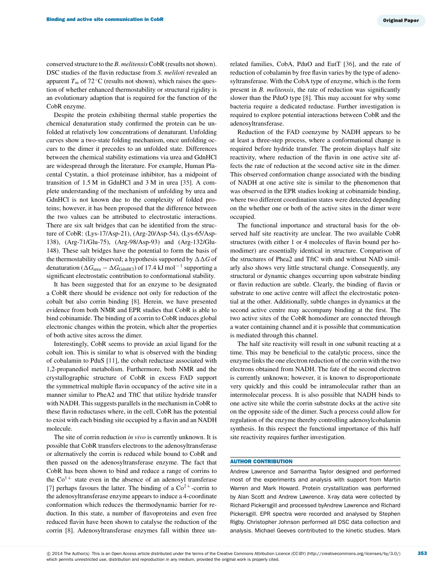conserved structure to the *B. melitensis* CobR (results not shown). DSC studies of the flavin reductase from *S. meliloti* revealed an apparent  $T_m$  of 72 °C (results not shown), which raises the question of whether enhanced thermostability or structural rigidity is an evolutionary adaption that is required for the function of the CobR enzyme.

Despite the protein exhibiting thermal stable properties the chemical denaturation study confirmed the protein can be unfolded at relatively low concentrations of denaturant. Unfolding curves show a two-state folding mechanism, once unfolding occurs to the dimer it precedes to an unfolded state. Differences between the chemical stability estimations via urea and GdnHCl are widespread through the literature. For example, Human Placental Cystatin, a thiol proteinase inhibitor, has a midpoint of transition of 1.5 M in GdnHCl and 3 M in urea [35]. A complete understanding of the mechanism of unfolding by urea and GdnHCl is not known due to the complexity of folded proteins; however, it has been proposed that the difference between the two values can be attributed to electrostatic interactions. There are six salt bridges that can be identified from the structure of CobR: (Lys-17/Asp-21), (Arg-20/Asp-54), (Lys-65/Asp-138), (Arg-71/Glu-75), (Arg-98/Asp-93) and (Arg-132/Glu-148). These salt bridges have the potential to form the basis of the thermostability observed; a hypothesis supported by  $\Delta\Delta G$  of denaturation ( $\Delta G_{\text{urea}} - \Delta G_{\text{GdnHCl}}$ ) of 17.4 kJ mol<sup>-1</sup> supporting a significant electrostatic contribution to conformational stability.

It has been suggested that for an enzyme to be designated a CobR there should be evidence not only for reduction of the cobalt but also corrin binding [8]. Herein, we have presented evidence from both NMR and EPR studies that CobR is able to bind cobinamide. The binding of a corrin to CobR induces global electronic changes within the protein, which alter the properties of both active sites across the dimer.

Interestingly, CobR seems to provide an axial ligand for the cobalt ion. This is similar to what is observed with the binding of cobalamin to PduS [11], the cobalt reductase associated with 1,2-propanediol metabolism. Furthermore, both NMR and the crystallographic structure of CobR in excess FAD support the symmetrical multiple flavin occupancy of the active site in a manner similar to PheA2 and TftC that utilize hydride transfer with NADH. This suggests parallels in the mechanism in CobR to these flavin reductases where, in the cell, CobR has the potential to exist with each binding site occupied by a flavin and an NADH molecule.

The site of corrin reduction *in vivo* is currently unknown. It is possible that CobR transfers electrons to the adenosyltransferase or alternatively the corrin is reduced while bound to CobR and then passed on the adenosyltransferase enzyme. The fact that CobR has been shown to bind and reduce a range of corrins to the  $Co<sup>1+</sup>$  state even in the absence of an adenosyl transferase [7] perhaps favours the latter. The binding of a  $Co<sup>2+</sup>$ -corrin to the adenosyltransferase enzyme appears to induce a 4-coordinate conformation which reduces the thermodynamic barrier for reduction. In this state, a number of flavoproteins and even free reduced flavin have been shown to catalyse the reduction of the corrin [8]. Adenosyltransferase enzymes fall within three unrelated families, CobA, PduO and EutT [36], and the rate of reduction of cobalamin by free flavin varies by the type of adenosyltransferase. With the CobA type of enzyme, which is the form present in *B. melitensis*, the rate of reduction was significantly slower than the PduO type [8]. This may account for why some bacteria require a dedicated reductase. Further investigation is required to explore potential interactions between CobR and the adenosyltransferase.

Reduction of the FAD coenzyme by NADH appears to be at least a three-step process, where a conformational change is required before hydride transfer. The protein displays half site reactivity, where reduction of the flavin in one active site affects the rate of reduction at the second active site in the dimer. This observed conformation change associated with the binding of NADH at one active site is similar to the phenomenon that was observed in the EPR studies looking at cobinamide binding, where two different coordination states were detected depending on the whether one or both of the active sites in the dimer were occupied.

The functional importance and structural basis for the observed half site reactivity are unclear. The two available CobR structures (with either 1 or 4 molecules of flavin bound per homodimer) are essentially identical in structure. Comparison of the structures of Phea2 and TftC with and without NAD similarly also shows very little structural change. Consequently, any structural or dynamic changes occurring upon substrate binding or flavin reduction are subtle. Clearly, the binding of flavin or substrate to one active centre will affect the electrostatic potential at the other. Additionally, subtle changes in dynamics at the second active centre may accompany binding at the first. The two active sites of the CobR homodimer are connected through a water containing channel and it is possible that communication is mediated through this channel.

The half site reactivity will result in one subunit reacting at a time. This may be beneficial to the catalytic process, since the enzyme links the one electron reduction of the corrin with the two electrons obtained from NADH. The fate of the second electron is currently unknown; however, it is known to disproportionate very quickly and this could be intramolecular rather than an intermolecular process. It is also possible that NADH binds to one active site while the corrin substrate docks at the active site on the opposite side of the dimer. Such a process could allow for regulation of the enzyme thereby controlling adenosylcobalamin synthesis. In this respect the functional importance of this half site reactivity requires further investigation.

#### AUTHOR CONTRIBUTION

Andrew Lawrence and Samantha Taylor designed and performed most of the experiments and analysis with support from Martin Warren and Mark Howard. Protein crystallization was performed by Alan Scott and Andrew Lawrence. X-ray data were collected by Richard Pickersgill and processed byAndrew Lawrence and Richard Pickersgill. EPR spectra were recorded and analysed by Stephen Rigby. Christopher Johnson performed all DSC data collection and analysis. Michael Geeves contributed to the kinetic studies. Mark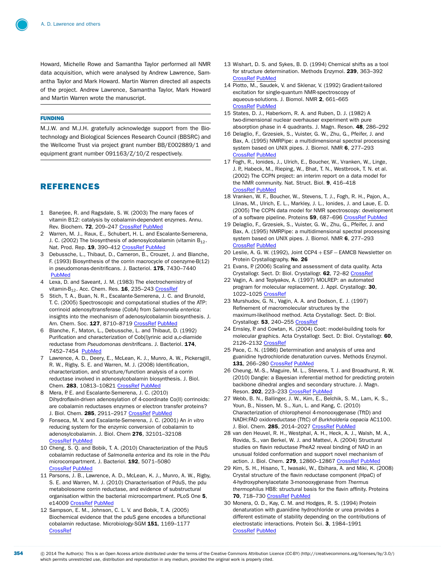Howard, Michelle Rowe and Samantha Taylor performed all NMR data acquisition, which were analysed by Andrew Lawrence, Samantha Taylor and Mark Howard. Martin Warren directed all aspects of the project. Andrew Lawrence, Samantha Taylor, Mark Howard and Martin Warren wrote the manuscript.

#### FUNDING

M.J.W. and M.J.H. gratefully acknowledge support from the Biotechnology and Biological Sciences Research Council (BBSRC) and the Wellcome Trust via project grant number BB/E002889/1 and equipment grant number 091163/Z/10/Z respectively.

#### REFERENCES

- 1 Banerjee, R. and Ragsdale, S. W. (2003) The many faces of vitamin B12: catalysis by cobalamin-dependent enzymes. Annu. Rev. Biochem. 72, 209-247 [CrossRef](http://dx.doi.org/10.1146/annurev.biochem.72.121801.161828) [PubMed](http://www.ncbi.nlm.nih.gov/pubmed/14527323)
- 2 Warren, M. J., Raux, E., Schubert, H. L. and Escalante-Semerena, J. C. (2002) The biosynthesis of adenosylcobalamin (vitamin  $B_{12}$ . Nat. Prod. Rep. 19, 390-412 [CrossRef](http://dx.doi.org/10.1039/b108967f) [PubMed](http://www.ncbi.nlm.nih.gov/pubmed/12195810)
- 3 Debussche, L., Thibaut, D., Cameron, B., Crouzet, J. and Blanche, F. (1993) Biosynthesis of the corrin macrocycle of coenzyme-B(12) in pseudomonas-denitrificans. J. Bacteriol. 175, 7430-7440 [PubMed](http://www.ncbi.nlm.nih.gov/pubmed/8226690)
- 4 Lexa, D. and Saveant, J. M. (1983) The electrochemistry of vitamin-B<sub>12</sub>. Acc. Chem. Res.  $16$ , 235-243 [CrossRef](http://dx.doi.org/10.1021/ar00091a001)
- 5 Stich, T. A., Buan, N. R., Escalante-Semerena, J. C. and Brunold, T. C. (2005) Spectroscopic and computational studies of the ATP: corrinoid adenosyltransferase (CobA) from *Salmonella enterica*: insights into the mechanism of adenosylcobalamin biosynthesis. J. Am. Chem. Soc. 127, 8710-8719 [CrossRef](http://dx.doi.org/10.1021/ja042142p) [PubMed](http://www.ncbi.nlm.nih.gov/pubmed/15954777)
- 6 Blanche, F., Maton, L., Debussche, L. and Thibaut, D. (1992) Purification and characterization of Cob(I)yrinic acid a,c-diamide reductase from *Pseudomonas denitrificans*. J. Bacteriol. 174, 7452–7454 [PubMed](http://www.ncbi.nlm.nih.gov/pubmed/1429467)
- 7 Lawrence, A. D., Deery, E., McLean, K. J., Munro, A. W., Pickersgill, R. W., Rigby, S. E. and Warren, M. J. (2008) Identification, characterization, and structure/function analysis of a corrin reductase involved in adenosylcobalamin biosynthesis. J. Biol. Chem. 283, 10813–10821 [CrossRef](http://dx.doi.org/10.1074/jbc.M710431200) [PubMed](http://www.ncbi.nlm.nih.gov/pubmed/18263579)
- 8 Mera, P. E. and Escalante-Semerena, J. C. (2010) Dihydroflavin-driven adenosylation of 4-coordinate Co(II) corrinoids: are cobalamin reductases enzymes or electron transfer proteins? J. Biol. Chem. 285, 2911-2917 [CrossRef](http://dx.doi.org/10.1074/jbc.M109.059485) [PubMed](http://www.ncbi.nlm.nih.gov/pubmed/19933577)
- 9 Fonseca, M. V. and Escalante-Semerena, J. C. (2001) An *in vitro* reducing system for the enzymic conversion of cobalamin to adenosylcobalamin. J. Biol. Chem 276, 32101–32108 [CrossRef](http://dx.doi.org/10.1074/jbc.M102510200) [PubMed](http://www.ncbi.nlm.nih.gov/pubmed/11408479)
- 10 Cheng, S. Q. and Bobik, T. A. (2010) Characterization of the PduS cobalamin reductase of *Salmonella enterica* and its role in the Pdu microcompartment. J. Bacteriol. 192, 5071–5080 [CrossRef](http://dx.doi.org/10.1128/JB.00575-10) [PubMed](http://www.ncbi.nlm.nih.gov/pubmed/20656910)
- 11 Parsons, J. B., Lawrence, A. D., McLean, K. J., Munro, A. W., Rigby, S. E. and Warren, M. J. (2010) Characterisation of PduS, the pdu metabolosome corrin reductase, and evidence of substructural organisation within the bacterial microcompartment. PLoS One 5, e14009 [CrossRef](http://dx.doi.org/10.1371/journal.pone.0014009) [PubMed](http://www.ncbi.nlm.nih.gov/pubmed/21103360)
- 12 Sampson, E. M., Johnson, C. L. V. and Bobik, T. A. (2005) Biochemical evidence that the pduS gene encodes a bifunctional cobalamin reductase. Microbiology-SGM 151, 1169-1177 **[CrossRef](http://dx.doi.org/10.1099/mic.0.27755-0)**
- 13 Wishart, D. S. and Sykes, B. D. (1994) Chemical shifts as a tool for structure determination. Methods Enzymol. 239, 363–392 [CrossRef](http://dx.doi.org/10.1016/S0076-6879(94)39014-2) [PubMed](http://www.ncbi.nlm.nih.gov/pubmed/7830591)
- 14 Piotto, M., Saudek, V. and Sklenar, V. (1992) Gradient-tailored excitation for single-quantum NMR-spectroscopy of aqueous-solutions. J. Biomol. NMR 2, 661–665 [CrossRef](http://dx.doi.org/10.1007/BF02192855) [PubMed](http://www.ncbi.nlm.nih.gov/pubmed/1490109)
- 15 States, D. J., Haberkorn, R. A. and Ruben, D. J. (1982) A two-dimensional nuclear overhauser experiment with pure absorption phase in 4 quadrants. J. Magn. Reson. 48, 286–292
- 16 Delaglio, F., Grzesiek, S., Vuister, G. W., Zhu, G., Pfeifer, J. and Bax, A. (1995) NMRPipe: a multidimensional spectral processing system based on UNIX pipes. J. Biomol. NMR 6, 277–293 [CrossRef](http://dx.doi.org/10.1007/BF00197809) [PubMed](http://www.ncbi.nlm.nih.gov/pubmed/8520220)
- 17 Fogh, R., Ionides, J., Ulrich, E., Boucher, W., Vranken, W., Linge, J. P., Habeck, M., Rieping, W., Bhat, T. N., Westbrook, T. N. et al. (2002) The CCPN project: an interim report on a data model for the NMR community. Nat. Struct. Biol. 9, 416–418 [CrossRef](http://dx.doi.org/10.1038/nsb0602-416) [PubMed](http://www.ncbi.nlm.nih.gov/pubmed/12032555)
- 18 Vranken, W. F., Boucher, W., Stevens, T. J., Fogh, R. H., Pajon, A., Llinas, M., Ulrich, E. L., Markley, J. L., Ionides, J. and Laue, E. D. (2005) The CCPN data model for NMR spectroscopy: development of a software pipeline. Proteins 59, 687–696 [CrossRef](http://dx.doi.org/10.1002/prot.20449) [PubMed](http://www.ncbi.nlm.nih.gov/pubmed/15815974)
- 19 Delaglio, F., Grzesiek, S., Vuister, G. W., Zhu, G., Pfeifer, J. and Bax, A. (1995) NMRPipe: a multidimensional spectral processing system based on UNIX pipes. J. Biomol. NMR 6, 277–293 [CrossRef](http://dx.doi.org/10.1007/BF00197809) [PubMed](http://www.ncbi.nlm.nih.gov/pubmed/8520220)
- 20 Leslie, A. G. W. (1992), Joint CCP4 + ESF EAMCB Newsletter on Protein Crystallography. No. 26
- 21 Evans, P. (2006) Scaling and assessment of data quality. Acta Crystallogr. Sect. D: Biol. Crystallogr. 62, 72–82 [CrossRef](http://dx.doi.org/10.1107/S0907444905036693)
- 22 Vagin, A. and Teplyakov, A. (1997) MOLREP: an automated program for molecular replacement. J. Appl. Crystallogr. 30, 1022-1025 [CrossRef](http://dx.doi.org/10.1107/S0021889897006766)
- 23 Murshudov, G. N., Vagin, A. A. and Dodson, E. J. (1997) Refinement of macromolecular structures by the maximum-likelihood method. Acta Crystallogr. Sect. D: Biol. Crystallogr. 53, 240–255 [CrossRef](http://dx.doi.org/10.1107/S0907444996012255)
- 24 Emsley, P. and Cowtan, K. (2004) Coot: model-building tools for molecular graphics. Acta Crystallogr. Sect. D: Biol. Crystallogr. 60, 2126-2132 [CrossRef](http://dx.doi.org/10.1107/S0907444904019158)
- 25 Pace, C. N. (1986) Determination and analysis of urea and guanidine hydrochloride denaturation curves. Methods Enzymol. 131, 266–280 [CrossRef](http://dx.doi.org/10.1016/0076-6879(86)31045-0) [PubMed](http://www.ncbi.nlm.nih.gov/pubmed/3773761)
- 26 Cheung, M.-S., Maguire, M. L., Stevens, T. J. and Broadhurst, R. W. (2010) Dangle: a Bayesian inferential method for predicting protein backbone dihedral angles and secondary structure. J. Magn. Reson. 202, 223-233 [CrossRef](http://dx.doi.org/10.1016/j.jmr.2009.11.008) [PubMed](http://www.ncbi.nlm.nih.gov/pubmed/20015671)
- 27 Webb, B. N., Ballinger, J. W., Kim, E., Belchik, S. M., Lam, K. S., Youn, B., Nissen, M. S., Xun, L. and Kang, C. (2010) Characterization of chlorophenol 4-monooxygenase (TftD) and NADH:FAD oxidoreductase (TftC) of *Burkholderia cepacia* AC1100. J. Biol. Chem. 285, 2014-2027 [CrossRef](http://dx.doi.org/10.1074/jbc.M109.056135) [PubMed](http://www.ncbi.nlm.nih.gov/pubmed/19915006)
- 28 van den Heuvel, R. H., Westphal, A. H., Heck, A. J., Walsh, M. A., Rovida, S., van Berkel, W. J. and Mattevi, A. (2004) Structural studies on flavin reductase PheA2 reveal binding of NAD in an unusual folded conformation and support novel mechanism of action. J. Biol. Chem. 279, 12860-12867 [CrossRef](http://dx.doi.org/10.1074/jbc.M313765200) [PubMed](http://www.ncbi.nlm.nih.gov/pubmed/14703520)
- 29 Kim, S. H., Hisano, T., Iwasaki, W., Ebihara, A. and Miki, K. (2008) Crystal structure of the flavin reductase component (HpaC) of 4-hydroxyphenylacetate 3-monooxygenase from *Thermus thermophilus* HB8: structural basis for the flavin affinity. Proteins 70, 718–730 [CrossRef](http://dx.doi.org/10.1002/prot.21534) [PubMed](http://www.ncbi.nlm.nih.gov/pubmed/17729270)
- 30 Monera, O. D., Kay, C. M. and Hodges, R. S. (1994) Protein denaturation with guanidine hydrochloride or urea provides a different estimate of stability depending on the contributions of electrostatic interactions. Protein Sci. 3, 1984–1991 [CrossRef](http://dx.doi.org/10.1002/pro.5560031110) [PubMed](http://www.ncbi.nlm.nih.gov/pubmed/7703845)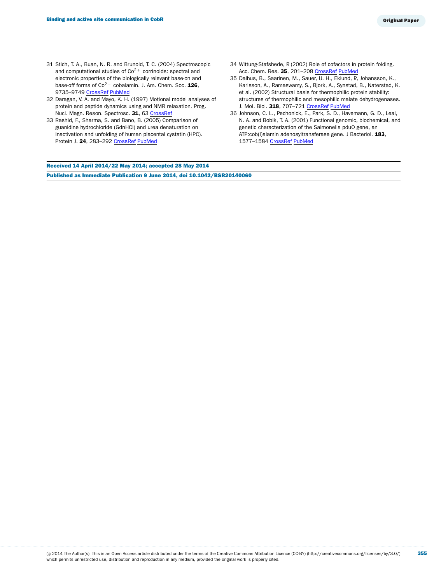- 31 Stich, T. A., Buan, N. R. and Brunold, T. C. (2004) Spectroscopic and computational studies of  $Co<sup>2+</sup>$  corrinoids: spectral and electronic properties of the biologically relevant base-on and base-off forms of  $Co^{2+}$  cobalamin. J. Am. Chem. Soc. 126, 9735-9749 [CrossRef](http://dx.doi.org/10.1021/ja0481631) [PubMed](http://www.ncbi.nlm.nih.gov/pubmed/15291577)
- 32 Daragan, V. A. and Mayo, K. H. (1997) Motional model analyses of protein and peptide dynamics using and NMR relaxation. Prog. Nucl. Magn. Reson. Spectrosc. 31, 63 [CrossRef](http://dx.doi.org/10.1016/S0079-6565(97)00006-X)
- 33 Rashid, F., Sharma, S. and Bano, B. (2005) Comparison of guanidine hydrochloride (GdnHCl) and urea denaturation on inactivation and unfolding of human placental cystatin (HPC). Protein J. 24, 283–292 [CrossRef](http://dx.doi.org/10.1007/s10930-005-6749-5) [PubMed](http://www.ncbi.nlm.nih.gov/pubmed/16284726)
- 34 Wittung-Stafshede, P. (2002) Role of cofactors in protein folding. Acc. Chem. Res. 35, 201-208 [CrossRef](http://dx.doi.org/10.1021/ar010106e) [PubMed](http://www.ncbi.nlm.nih.gov/pubmed/11955048)
- 35 Dalhus, B., Saarinen, M., Sauer, U. H., Eklund, P., Johansson, K., Karlsson, A., Ramaswamy, S., Bjork, A., Synstad, B., Naterstad, K. et al. (2002) Structural basis for thermophilic protein stability: structures of thermophilic and mesophilic malate dehydrogenases. J. Mol. Biol. 318, 707-721 [CrossRef](http://dx.doi.org/10.1016/S0022-2836(02)00050-5) [PubMed](http://www.ncbi.nlm.nih.gov/pubmed/12054817)
- 36 Johnson, C. L., Pechonick, E., Park, S. D., Havemann, G. D., Leal, N. A. and Bobik, T. A. (2001) Functional genomic, biochemical, and genetic characterization of the Salmonella pduO gene, an ATP:cob(I)alamin adenosyltransferase gene. J Bacteriol. 183, 1577–1584 [CrossRef](http://dx.doi.org/10.1128/JB.183.5.1577-1584.2001) [PubMed](http://www.ncbi.nlm.nih.gov/pubmed/11160088)

Received 14 April 2014/22 May 2014; accepted 28 May 2014 Published as Immediate Publication 9 June 2014, doi 10.1042/BSR20140060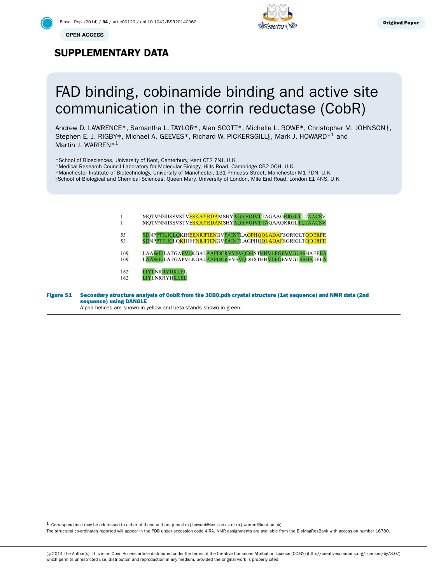**OPEN ACCESS** 

# SUPPLEMENTARY DATA



# FAD binding, cobinamide binding and active site communication in the corrin reductase (CobR)

Andrew D. LAWRENCE\*, Samantha L. TAYLOR\*, Alan SCOTT\*, Michelle L. ROWE\*, Christopher M. JOHNSON†, Stephen E. J. RIGBY $\dagger$ , Michael A. GEEVES\*, Richard W. PICKERSGILL§, Mark J. HOWARD\*<sup>1</sup> and Martin J. WARREN\*<sup>1</sup>

\*School of Biosciences, University of Kent, Canterbury, Kent CT2 7NJ, U.K.

†Medical Research Council Laboratory for Molecular Biology, Hills Road, Cambridge CB2 0QH, U.K.

‡Manchester Institute of Biotechnology, University of Manchester, 131 Princess Street, Manchester M1 7DN, U.K.

§School of Biological and Chemical Sciences, Queen Mary, University of London, Mile End Road, London E1 4NS, U.K.

|     | MOTVNNIISSVSTVESKAYRDAMSHYAGAVOIVTTAGAAGRRGLTLTAACSV<br>MOTVNNIISSVSTVESKAYRDAMSHYAGAVOIVTTAGAAGRRGLTLTAACSV |
|-----|--------------------------------------------------------------------------------------------------------------|
| 53  | SDNPPTILICLOKIHEENRIFIENGVFAINTLAGPHOOLADAFSGRIGLTODERFE                                                     |
| 53  | SDNPPTLICLOKIHEENRIFIENGVFAINTLAGPHOOLADAFSGRIGLTODERFE                                                      |
| 109 | <b>LAAWEILATGAPVLKGALAAFDCRVVSVODHSTHHVLFGEVVGLSSHAEEEA</b>                                                  |
| 109 | <b>LAAWEILATGAPVLKGALAAFDCRVVSVODHSTHHVLFGEVVGLSSHAEEEA</b>                                                  |
| 162 | <b>LIYLNRRYHKLEL</b>                                                                                         |
| 162 | <b>LIYLNRRYHKLEL</b>                                                                                         |

#### Figure S1 Secondary structure analysis of CobR from the 3CB0.pdb crystal structure (1st sequence) and NMR data (2nd sequence) using DANGLE

Alpha helices are shown in yellow and beta-stands shown in green.

 $1$  Correspondence may be addressed to either of these authors (email m.j.howard@kent.ac.uk or m.j.warren@kent.ac.uk).

The structural co-ordinates reported will appear in the PDB under accession code 4IRA. NMR assignments are available from the BioMagResBank with accession number 16780.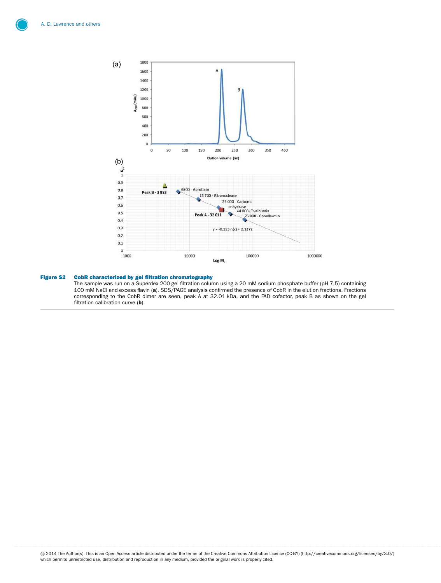

#### Figure S2 CobR characterized by gel filtration chromatography

The sample was run on a Superdex 200 gel filtration column using a 20 mM sodium phosphate buffer (pH 7.5) containing 100 mM NaCl and excess flavin (a). SDS/PAGE analysis confirmed the presence of CobR in the elution fractions. Fractions corresponding to the CobR dimer are seen, peak A at 32.01 kDa, and the FAD cofactor, peak B as shown on the gel filtration calibration curve (b).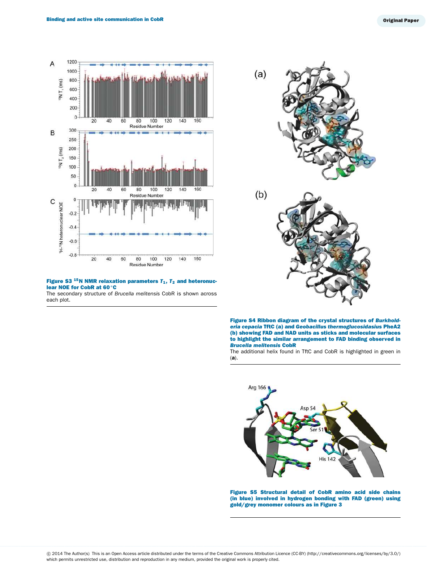

Figure S3<sup>15</sup>N NMR relaxation parameters  $T_1$ ,  $T_2$  and heteronuclear NOE for CobR at 60◦C

The secondary structure of *Brucella melitensis* CobR is shown across each plot.





The additional helix found in TftC and CobR is highlighted in green in (a).